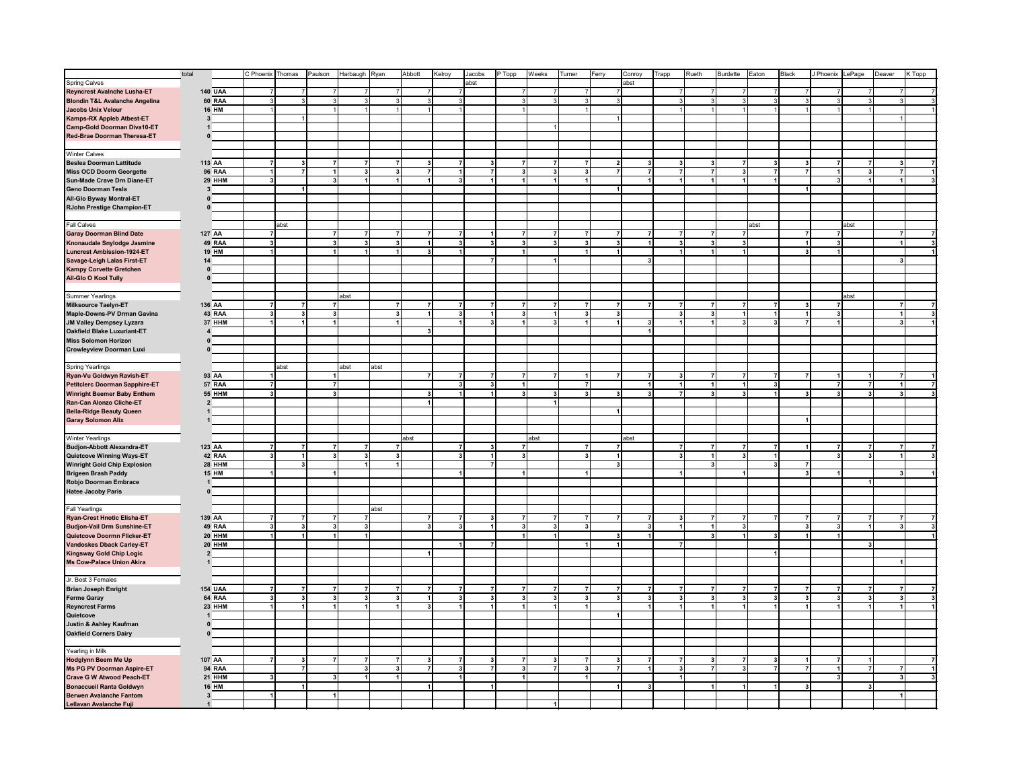|                                           | total |                         |                |                | C Phoenix Thomas        | Paulson                 | Harbaugh Ryan           |                         | Abbott                  | Kelroy         | Jacobs                  | P Topp                  | Weeks                   | Turner                  | Ferry                   | Conroy                  | Rueth<br>Trapp                       | Burdette<br>Eaton                         | Black                   | J Phoenix LePage     |              | Deaver | K Topp |
|-------------------------------------------|-------|-------------------------|----------------|----------------|-------------------------|-------------------------|-------------------------|-------------------------|-------------------------|----------------|-------------------------|-------------------------|-------------------------|-------------------------|-------------------------|-------------------------|--------------------------------------|-------------------------------------------|-------------------------|----------------------|--------------|--------|--------|
| <b>Spring Calves</b>                      |       |                         |                |                |                         |                         |                         |                         |                         |                | abst                    |                         |                         |                         |                         | abst                    |                                      |                                           |                         |                      |              |        |        |
| <b>Reyncrest Avalnche Lusha-ET</b>        |       |                         | <b>140 UAA</b> |                | $\overline{7}$          |                         | 7                       |                         |                         | $\overline{7}$ |                         | $\overline{7}$          |                         |                         | 7                       |                         | 7<br>$\overline{7}$                  | $\overline{7}$<br>7                       |                         | $\overline{7}$       |              |        |        |
| <b>Blondin T&amp;L Avalanche Angelina</b> |       |                         | 60 RAA         |                | 3                       |                         |                         |                         | 3                       | 3              |                         | 3                       |                         |                         | 3                       |                         | 3<br>3                               | 3                                         |                         | 3                    |              |        |        |
| <b>Jacobs Unix Velour</b>                 |       |                         | <b>16 HM</b>   |                |                         |                         |                         |                         |                         | $\vert$ 1      |                         |                         |                         |                         |                         |                         | $\overline{1}$                       | $\mathbf{1}$                              |                         | $\blacktriangleleft$ |              |        |        |
|                                           |       |                         |                |                |                         |                         |                         |                         |                         |                |                         |                         |                         |                         |                         |                         |                                      |                                           |                         |                      |              |        |        |
| Kamps-RX Appleb Atbest-ET                 |       | 3                       |                |                |                         |                         |                         |                         |                         |                |                         |                         |                         |                         |                         |                         |                                      |                                           |                         |                      |              |        |        |
| <b>Camp-Gold Doorman Diva10-ET</b>        |       | $\mathbf{1}$            |                |                |                         |                         |                         |                         |                         |                |                         |                         |                         |                         |                         |                         |                                      |                                           |                         |                      |              |        |        |
| Red-Brae Doorman Theresa-ET               |       | $\mathbf{0}$            |                |                |                         |                         |                         |                         |                         |                |                         |                         |                         |                         |                         |                         |                                      |                                           |                         |                      |              |        |        |
|                                           |       |                         |                |                |                         |                         |                         |                         |                         |                |                         |                         |                         |                         |                         |                         |                                      |                                           |                         |                      |              |        |        |
| <b>Winter Calves</b>                      |       |                         |                |                |                         |                         |                         |                         |                         |                |                         |                         |                         |                         |                         |                         |                                      |                                           |                         |                      |              |        |        |
| <b>Beslea Doorman Lattitude</b>           |       | 113 AA                  |                |                | 3                       | $\overline{7}$          | $\overline{7}$          | $\overline{7}$          | 3                       | $\overline{7}$ | 3                       | $\overline{7}$          |                         | $\overline{7}$          | $\overline{\mathbf{2}}$ | 3                       | $\mathbf{3}$<br>3                    | $\overline{7}$<br>3                       |                         | $\overline{7}$       |              |        |        |
| <b>Miss OCD Doorm Georgette</b>           |       |                         | <b>96 RAA</b>  | 1              | $\overline{7}$          | 1                       | $\overline{\mathbf{3}}$ | $\overline{\mathbf{3}}$ | $\overline{7}$          | 1              | $\overline{7}$          | 3 <sup>1</sup>          | $\overline{\mathbf{3}}$ | 3                       | $\overline{7}$          | $\overline{7}$          | $\overline{7}$<br>$\overline{7}$     | 3 <sup>1</sup><br>$\overline{7}$          | $\overline{7}$          | 1                    | $\mathbf{3}$ |        |        |
| Sun-Made Crave Drn Diane-ET               |       |                         | 29 HHM         |                |                         | 3                       |                         |                         |                         | $\mathbf{3}$   |                         | $\mathbf{1}$            |                         |                         |                         | $\mathbf{1}$            | $\blacktriangleleft$<br>$\mathbf{1}$ | $\mathbf{1}$<br>1 <sup>1</sup>            |                         | $\mathbf{3}$         |              |        |        |
| Geno Doorman Tesla                        |       | 3                       |                |                |                         |                         |                         |                         |                         |                |                         |                         |                         |                         |                         |                         |                                      |                                           |                         |                      |              |        |        |
| All-Glo Byway Montral-ET                  |       | $\mathbf{0}$            |                |                |                         |                         |                         |                         |                         |                |                         |                         |                         |                         |                         |                         |                                      |                                           |                         |                      |              |        |        |
| RJohn Prestige Champion-ET                |       | $\mathbf{0}$            |                |                |                         |                         |                         |                         |                         |                |                         |                         |                         |                         |                         |                         |                                      |                                           |                         |                      |              |        |        |
|                                           |       |                         |                |                |                         |                         |                         |                         |                         |                |                         |                         |                         |                         |                         |                         |                                      |                                           |                         |                      |              |        |        |
| Fall Calves                               |       |                         |                |                | abst                    |                         |                         |                         |                         |                |                         |                         |                         |                         |                         |                         |                                      | abst                                      |                         |                      | abst         |        |        |
| <b>Garay Doorman Blind Date</b>           |       | 127 AA                  |                |                |                         |                         |                         |                         |                         | $\overline{7}$ |                         |                         |                         |                         |                         | $\overline{7}$          | $\overline{7}$                       | $\overline{7}$                            |                         | $\overline{7}$       |              |        |        |
| Knonaudale Snylodge Jasmine               |       |                         | 49 RAA         |                |                         |                         |                         |                         |                         | $\mathbf{3}$   |                         | 3                       |                         |                         | 3                       |                         | 3<br>3                               | $\overline{\mathbf{3}}$                   |                         | $\mathbf{3}$         |              |        |        |
| <b>Luncrest Ambission-1924-ET</b>         |       |                         | <b>19 HM</b>   |                |                         |                         |                         |                         |                         | $\overline{1}$ |                         |                         |                         |                         |                         |                         | $\mathbf{1}$                         | 1                                         | 3                       |                      |              |        |        |
| Savage-Leigh Lalas First-ET               |       | 14                      |                |                |                         |                         |                         |                         |                         |                | 7                       |                         | $\mathbf{1}$            |                         |                         | $\mathbf{3}$            |                                      |                                           |                         |                      |              |        |        |
| <b>Kampy Corvette Gretchen</b>            |       | $\mathbf 0$             |                |                |                         |                         |                         |                         |                         |                |                         |                         |                         |                         |                         |                         |                                      |                                           |                         |                      |              |        |        |
| All-Glo O Kool Tully                      |       | $\mathbf 0$             |                |                |                         |                         |                         |                         |                         |                |                         |                         |                         |                         |                         |                         |                                      |                                           |                         |                      |              |        |        |
|                                           |       |                         |                |                |                         |                         |                         |                         |                         |                |                         |                         |                         |                         |                         |                         |                                      |                                           |                         |                      |              |        |        |
| <b>Summer Yearlings</b>                   |       |                         |                |                |                         |                         | abst                    |                         |                         |                |                         |                         |                         |                         |                         |                         |                                      |                                           |                         |                      | abst         |        |        |
| <b>Milksource Taelyn-ET</b>               |       | 136 AA                  |                |                | $\overline{7}$          | $\overline{7}$          |                         |                         | $\overline{7}$          | $\overline{7}$ |                         | $\overline{7}$          |                         |                         | $\overline{7}$          | $\overline{7}$          | 7<br>$\overline{7}$                  | $\overline{7}$<br>$\overline{7}$          |                         | $\overline{7}$       |              |        |        |
| Maple-Downs-PV Drman Gavina               |       |                         | 43 RAA         |                | $\overline{\mathbf{3}}$ | $\overline{\mathbf{3}}$ |                         | $\overline{\mathbf{3}}$ |                         | 3 <sup>1</sup> |                         | 3                       |                         | $\overline{\mathbf{3}}$ | $\overline{\mathbf{3}}$ |                         | 3 <sup>1</sup><br>$\mathbf{3}$       | $\mathbf{1}$<br>$\mathbf{1}$              |                         | 3 <sup>1</sup>       |              |        |        |
|                                           |       |                         | 37 HHM         |                | 1                       | $\blacktriangleleft$    |                         |                         |                         | 1              | $\mathbf{3}$            | $\mathbf{1}$            | $\overline{\mathbf{3}}$ | $\blacktriangleleft$    | 1                       | $\overline{\mathbf{3}}$ | 1<br>1                               | 3 <sup>1</sup><br>$\overline{\mathbf{3}}$ |                         | 1                    |              |        |        |
| JM Valley Dempsey Lyzara                  |       |                         |                |                |                         |                         |                         |                         | $\mathbf{3}$            |                |                         |                         |                         |                         |                         | $\mathbf{1}$            |                                      |                                           |                         |                      |              |        |        |
| Oakfield Blake Luxuriant-ET               |       | $\overline{4}$          |                |                |                         |                         |                         |                         |                         |                |                         |                         |                         |                         |                         |                         |                                      |                                           |                         |                      |              |        |        |
| <b>Miss Solomon Horizon</b>               |       | $\mathbf{0}$            |                |                |                         |                         |                         |                         |                         |                |                         |                         |                         |                         |                         |                         |                                      |                                           |                         |                      |              |        |        |
| Crowleyview Doorman Luxi                  |       | $\pmb{0}$               |                |                |                         |                         |                         |                         |                         |                |                         |                         |                         |                         |                         |                         |                                      |                                           |                         |                      |              |        |        |
|                                           |       |                         |                |                |                         |                         |                         |                         |                         |                |                         |                         |                         |                         |                         |                         |                                      |                                           |                         |                      |              |        |        |
| <b>Spring Yearlings</b>                   |       |                         |                |                | abst                    |                         | abst                    | abst                    |                         |                |                         |                         |                         |                         |                         |                         |                                      |                                           |                         |                      |              |        |        |
| Ryan-Vu Goldwyn Ravish-ET                 |       | 93 AA                   |                |                |                         | -1                      |                         |                         |                         |                |                         | 7                       |                         |                         |                         | $\overline{7}$          | $\overline{7}$<br>3                  | $\overline{7}$<br>7                       |                         |                      |              |        |        |
| Petitclerc Doorman Sapphire-ET            |       |                         | 57 RAA         | $\overline{7}$ |                         | $\overline{7}$          |                         |                         |                         | 3 <sup>1</sup> | $\overline{\mathbf{3}}$ | $\mathbf{1}$            |                         | $\overline{7}$          |                         | $\mathbf{1}$            | 1<br>-11                             | $\mathbf{1}$<br>3                         |                         | $\overline{7}$       |              |        |        |
| <b>Winright Beemer Baby Enthem</b>        |       |                         | <b>55 HHM</b>  | $\mathbf{3}$   |                         | 3                       |                         |                         | $\mathbf{3}$            | $\vert$        | $\mathbf{1}$            | 3 <sup>1</sup>          | $\mathbf{3}$            | 3                       | 3                       | 3                       | 3 <sup>1</sup><br>$\overline{7}$     | 3 <sup>1</sup><br>$\blacksquare$          | 3                       | 3                    | 3            | 3      |        |
| Ran-Can Alonzo Cliche-ET                  |       | $\overline{\mathbf{2}}$ |                |                |                         |                         |                         |                         |                         |                |                         |                         |                         |                         |                         |                         |                                      |                                           |                         |                      |              |        |        |
| <b>Bella-Ridge Beauty Queen</b>           |       | $\mathbf{1}$            |                |                |                         |                         |                         |                         |                         |                |                         |                         |                         |                         |                         | 11                      |                                      |                                           |                         |                      |              |        |        |
| <b>Garay Solomon Alix</b>                 |       | $\mathbf{1}$            |                |                |                         |                         |                         |                         |                         |                |                         |                         |                         |                         |                         |                         |                                      |                                           |                         |                      |              |        |        |
|                                           |       |                         |                |                |                         |                         |                         |                         |                         |                |                         |                         |                         |                         |                         |                         |                                      |                                           |                         |                      |              |        |        |
| <b>Winter Yearlings</b>                   |       |                         |                |                |                         |                         |                         |                         | abst                    |                |                         |                         | abst                    |                         |                         | abst                    |                                      |                                           |                         |                      |              |        |        |
| <b>Budjon-Abbott Alexandra-ET</b>         |       | 123 AA                  |                |                | $\overline{7}$          | $\overline{7}$          | $\overline{7}$          | $\overline{7}$          |                         | $\overline{7}$ | $\overline{\mathbf{3}}$ | $\overline{7}$          |                         | 7                       | $\overline{7}$          |                         | $\overline{7}$<br>$\overline{7}$     | $\overline{7}$<br>$\overline{7}$          |                         | $\overline{7}$       |              |        |        |
| Quietcove Winning Ways-ET                 |       |                         | 42 RAA         |                | $\overline{1}$          | $\mathbf{a}$            | $\overline{\mathbf{3}}$ | $\overline{\mathbf{3}}$ |                         | $\overline{3}$ | 1                       | $\overline{\mathbf{3}}$ |                         | $\mathbf{3}$            | $\ddot{\phantom{0}}$    |                         | $\overline{3}$<br>$\overline{1}$     | $\overline{3}$<br>$\overline{1}$          |                         | $\overline{3}$       |              |        |        |
| <b>Winright Gold Chip Explosion</b>       |       |                         | 28 HHM         |                | $\overline{\mathbf{3}}$ |                         |                         |                         |                         |                |                         |                         |                         |                         | 3                       |                         | $\overline{\mathbf{3}}$              | $\overline{\mathbf{3}}$                   |                         |                      |              |        |        |
| <b>Brigeen Brash Paddy</b>                |       |                         | <b>15 HM</b>   | $\mathbf{1}$   |                         | $\blacktriangleleft$    |                         |                         |                         | 1              |                         | $\mathbf{1}$            |                         | $\mathbf{1}$            |                         |                         | $\overline{A}$                       | $\overline{1}$                            | $\overline{\mathbf{3}}$ | $\overline{1}$       |              |        |        |
| Robjo Doorman Embrace                     |       | $\mathbf{1}$            |                |                |                         |                         |                         |                         |                         |                |                         |                         |                         |                         |                         |                         |                                      |                                           |                         |                      |              |        |        |
| <b>Hatee Jacoby Paris</b>                 |       | $\pmb{0}$               |                |                |                         |                         |                         |                         |                         |                |                         |                         |                         |                         |                         |                         |                                      |                                           |                         |                      |              |        |        |
|                                           |       |                         |                |                |                         |                         |                         |                         |                         |                |                         |                         |                         |                         |                         |                         |                                      |                                           |                         |                      |              |        |        |
| <b>Fall Yearlings</b>                     |       |                         |                |                |                         |                         |                         | abst                    |                         |                |                         |                         |                         |                         |                         |                         |                                      |                                           |                         |                      |              |        |        |
| <b>Ryan-Crest Hnotic Elisha-ET</b>        |       | 139 AA                  |                |                | $\overline{7}$          |                         | $\overline{7}$          |                         |                         | $\overline{7}$ | з                       | 7                       |                         |                         |                         | $\overline{7}$          | $\overline{7}$<br>з                  | $\overline{7}$<br>7                       |                         | $\overline{7}$       |              |        |        |
| <b>Budjon-Vail Drm Sunshine-ET</b>        |       |                         | 49 RAA         | 3              | $\mathbf{3}$            | 3                       | 3 <sup>1</sup>          |                         | 3                       | $\mathbf{3}$   |                         | $\mathbf{3}$            | $\vert$ 3               | 3                       |                         | 3                       | 1                                    | 3 <sup>1</sup>                            | 3                       | 3                    |              |        |        |
| Quietcove Doormn Flicker-ET               |       |                         | 20 HHM         | $\mathbf{1}$   | $\vert$ 1               | $\mathbf{1}$            | 1                       |                         |                         |                |                         | 1                       | $\overline{1}$          |                         | 3                       | 1                       | $3 \mid$                             | 1<br>3 <sup>1</sup>                       | $\overline{1}$          | 1                    |              |        |        |
| <b>Vandoskes Dback Carley-ET</b>          |       |                         | 20 HHM         |                |                         |                         |                         |                         |                         | 1              |                         |                         |                         |                         | $\mathbf{1}$            |                         | $\overline{7}$                       |                                           |                         |                      |              |        |        |
| <b>Kingsway Gold Chip Logic</b>           |       | $\overline{2}$          |                |                |                         |                         |                         |                         |                         |                |                         |                         |                         |                         |                         |                         |                                      |                                           |                         |                      |              |        |        |
| <b>Ms Cow-Palace Union Akira</b>          |       | $\mathbf{1}$            |                |                |                         |                         |                         |                         |                         |                |                         |                         |                         |                         |                         |                         |                                      |                                           |                         |                      |              |        |        |
|                                           |       |                         |                |                |                         |                         |                         |                         |                         |                |                         |                         |                         |                         |                         |                         |                                      |                                           |                         |                      |              |        |        |
| Jr. Best 3 Females                        |       |                         |                |                |                         |                         |                         |                         |                         |                |                         |                         |                         |                         |                         |                         |                                      |                                           |                         |                      |              |        |        |
| <b>Brian Joseph Enright</b>               |       |                         | <b>154 UAA</b> |                | $\overline{7}$          | $\overline{7}$          | 7                       | $\overline{7}$          | $\overline{ }$          | $\overline{7}$ | $\overline{7}$          | $\overline{7}$          |                         |                         | $\overline{7}$          | $\overline{7}$          | $\overline{7}$<br>$\overline{ }$     | $\overline{7}$<br>$\overline{7}$          |                         | $\overline{7}$       |              |        |        |
| <b>Ferme Garay</b>                        |       |                         | 64 RAA         |                | 3                       | $\overline{\mathbf{3}}$ | 3                       | 3                       |                         | $\mathbf{3}$   | $\overline{\mathbf{3}}$ | $\mathbf{3}$            | 3                       | 3                       | 3                       | $\overline{\mathbf{3}}$ | 3<br>$\mathbf{3}$                    | $\mathbf{3}$<br>$\overline{\mathbf{3}}$   |                         | $\mathbf{3}$         |              |        |        |
| <b>Reyncrest Farms</b>                    |       |                         | 23 HHM         |                | $\mathbf{1}$            | 1                       |                         | $\overline{1}$          | $\overline{\mathbf{3}}$ | $\mathbf{1}$   |                         | $\mathbf{1}$            |                         |                         |                         | 1                       | $\mathbf{1}$                         | $\mathbf{1}$                              |                         | $\mathbf{1}$         |              |        |        |
| Quietcove                                 |       | -1                      |                |                |                         |                         |                         |                         |                         |                |                         |                         |                         |                         |                         |                         |                                      |                                           |                         |                      |              |        |        |
| Justin & Ashley Kaufman                   |       | $\mathbf{0}$            |                |                |                         |                         |                         |                         |                         |                |                         |                         |                         |                         |                         |                         |                                      |                                           |                         |                      |              |        |        |
|                                           |       |                         |                |                |                         |                         |                         |                         |                         |                |                         |                         |                         |                         |                         |                         |                                      |                                           |                         |                      |              |        |        |
| <b>Oakfield Corners Dairy</b>             |       | $\pmb{0}$               |                |                |                         |                         |                         |                         |                         |                |                         |                         |                         |                         |                         |                         |                                      |                                           |                         |                      |              |        |        |
|                                           |       |                         |                |                |                         |                         |                         |                         |                         |                |                         |                         |                         |                         |                         |                         |                                      |                                           |                         |                      |              |        |        |
| Yearling in Milk                          |       |                         |                |                |                         |                         |                         |                         |                         |                |                         |                         |                         |                         |                         |                         |                                      |                                           |                         |                      |              |        |        |
| Hodglynn Beem Me Up                       |       | 107 AA                  |                |                | 3                       | $\overline{7}$          | $\overline{7}$          | $\overline{7}$          | 3                       | $\overline{7}$ | $\overline{\mathbf{3}}$ | $\overline{7}$          | 3                       | $\overline{7}$          | 3                       | 7                       | 7<br>$\mathbf{3}$                    | $\overline{7}$<br>3                       |                         | $\overline{7}$       |              |        |        |
| <b>Ms PG PV Doorman Aspire-ET</b>         |       |                         | <b>94 RAA</b>  |                | $\overline{7}$          |                         | 3                       | $\mathbf{3}$            | $\overline{7}$          | 3 <sup>1</sup> |                         | 3                       | $\overline{7}$          | 3                       | $\overline{7}$          | 1                       | 3 <br>$\overline{7}$                 | 3 <sup>1</sup><br>$\overline{7}$          | $\overline{7}$          | 1                    |              |        |        |
| <b>Crave G W Atwood Peach-ET</b>          |       |                         | 21 HHM         |                |                         |                         | $\mathbf{1}$            | $\overline{1}$          |                         | 1              |                         | 1 <sup>1</sup>          |                         |                         |                         |                         | 1                                    |                                           |                         | 3 <sup>1</sup>       |              |        |        |
| <b>Bonaccueil Ranta Goldwyn</b>           |       |                         | <b>16 HM</b>   |                |                         |                         |                         |                         |                         |                |                         |                         |                         |                         |                         | $\overline{\mathbf{3}}$ | $\mathbf{1}$                         |                                           | $\overline{\mathbf{3}}$ |                      |              |        |        |
| <b>Berwen Avalanche Fantom</b>            |       | $\mathbf{3}$            |                |                |                         | $\mathbf{1}$            |                         |                         |                         |                |                         |                         |                         |                         |                         |                         |                                      |                                           |                         |                      |              |        |        |
| Lellavan Avalanche Fuji                   |       | $\mathbf{1}$            |                |                |                         |                         |                         |                         |                         |                |                         |                         |                         |                         |                         |                         |                                      |                                           |                         |                      |              |        |        |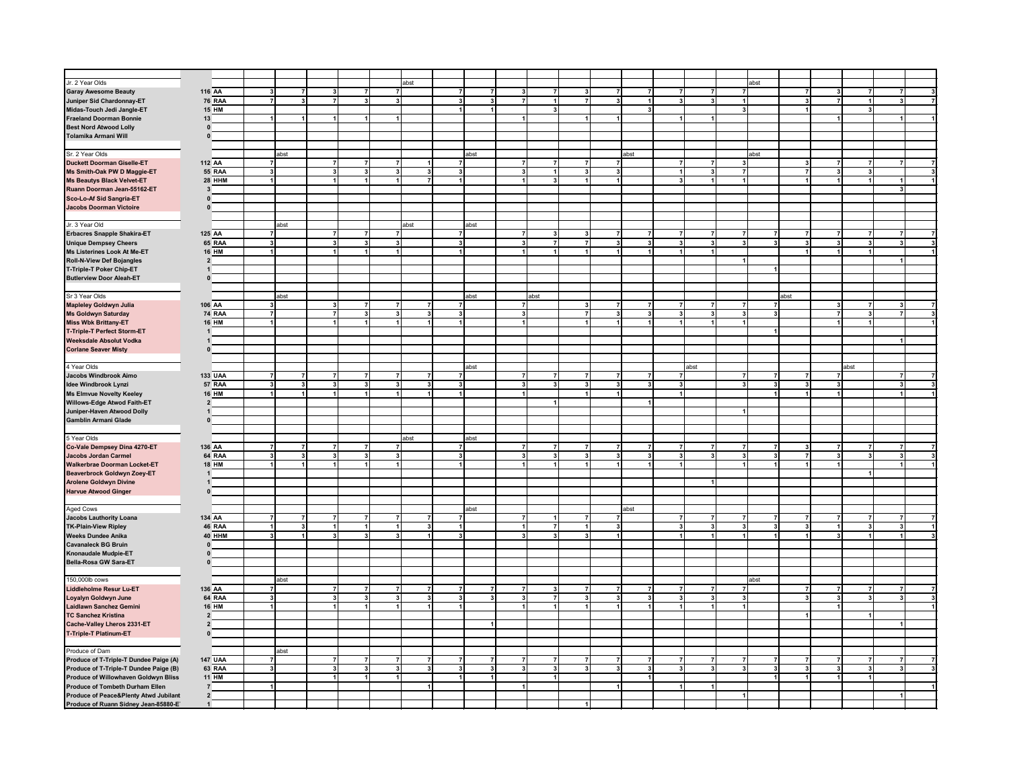| Jr. 2 Year Olds                                                                          |                         |                         |                                        |                      | abst                                               |                         |      |                         |                         |                |                         |                         |                |                         | abst                                   |                         |                         |                                  |  |
|------------------------------------------------------------------------------------------|-------------------------|-------------------------|----------------------------------------|----------------------|----------------------------------------------------|-------------------------|------|-------------------------|-------------------------|----------------|-------------------------|-------------------------|----------------|-------------------------|----------------------------------------|-------------------------|-------------------------|----------------------------------|--|
| <b>Garay Awesome Beauty</b>                                                              | 116 AA                  | 3                       | $\overline{7}$<br>3 <sup>1</sup>       | $\overline{7}$       | $\overline{7}$                                     | $\overline{7}$          | 7    | 3                       | $\overline{7}$          |                | $\overline{7}$          | $\overline{7}$          | $\overline{7}$ | $\overline{7}$          | $\overline{7}$                         | $\overline{7}$          | 3                       | $\overline{7}$<br>$\overline{7}$ |  |
| Juniper Sid Chardonnay-ET                                                                | <b>76 RAA</b>           | 7                       | $\mathbf{3}$<br>$\overline{7}$         | 3 <sup>1</sup>       | $\overline{\mathbf{3}}$                            | 3 <sup>1</sup>          | 3    | $\overline{7}$          | $\ddot{\phantom{0}}$    |                | $\mathbf{3}$            | $\mathbf{1}$            | 3 <sup>1</sup> | $\mathbf{3}$            | 1                                      | 3                       | $\overline{7}$          | $\mathbf{1}$<br>3                |  |
| Midas-Touch Jedi Jangle-ET                                                               | <b>15 HM</b>            |                         |                                        |                      |                                                    | $\mathbf{1}$            |      |                         | $\mathbf{3}$            |                |                         | $\overline{\mathbf{3}}$ |                |                         | 3 <sup>1</sup>                         |                         |                         | 3                                |  |
| <b>Fraeland Doorman Bonnie</b>                                                           | 13                      | $\mathbf{1}$            | 1<br>$\mathbf{1}$                      | $\mathbf{1}$         | $\blacktriangleleft$                               |                         |      |                         |                         |                | $\mathbf{1}$            |                         | 1              | $\mathbf{1}$            |                                        |                         | $\blacktriangleleft$    | $\blacktriangleleft$             |  |
| <b>Best Nord Atwood Lolly</b>                                                            | $\pmb{0}$               |                         |                                        |                      |                                                    |                         |      |                         |                         |                |                         |                         |                |                         |                                        |                         |                         |                                  |  |
| Tolamika Armani Will                                                                     | $\pmb{0}$               |                         |                                        |                      |                                                    |                         |      |                         |                         |                |                         |                         |                |                         |                                        |                         |                         |                                  |  |
|                                                                                          |                         |                         |                                        |                      |                                                    |                         |      |                         |                         |                |                         |                         |                |                         |                                        |                         |                         |                                  |  |
|                                                                                          |                         |                         |                                        |                      |                                                    |                         |      |                         |                         |                |                         |                         |                |                         |                                        |                         |                         |                                  |  |
| Sr. 2 Year Olds                                                                          |                         | abst                    |                                        |                      |                                                    |                         | abst |                         |                         |                |                         | abst                    |                |                         | abst                                   |                         |                         |                                  |  |
| <b>Duckett Doorman Giselle-ET</b>                                                        | 112 AA                  | $\mathbf{z}$            | $\overline{7}$                         | $\overline{7}$       | $\overline{7}$                                     | $\overline{7}$          |      |                         |                         |                | $\overline{7}$          |                         | $\overline{7}$ | $\overline{ }$          | $\overline{\mathbf{3}}$                | 3                       | $\overline{ }$          |                                  |  |
| Ms Smith-Oak PW D Maggie-ET                                                              | <b>55 RAA</b>           | $\overline{\mathbf{3}}$ | 3 <sup>1</sup>                         | 3 <sup>1</sup>       | $\overline{\mathbf{3}}$<br>$\overline{\mathbf{3}}$ | $\overline{\mathbf{3}}$ |      | $\mathbf{a}$            | $\overline{1}$          | $\mathbf{3}$   | $\mathbf{3}$            |                         | 1              | $\mathbf{3}$            | 7 <sup>1</sup>                         | $\overline{7}$          | $\mathbf{3}$            | $\overline{\mathbf{3}}$          |  |
| <b>Ms Beautys Black Velvet-ET</b>                                                        | <b>28 HHM</b>           | $\ddot{\phantom{0}}$    | $\blacktriangleleft$                   | $\blacktriangleleft$ | $\blacktriangleleft$                               | $\vert$                 |      |                         | $\mathbf{a}$            |                | $\blacktriangleleft$    |                         | 3 <sup>1</sup> | $\overline{1}$          | $\overline{1}$                         |                         |                         | $\overline{1}$                   |  |
| Ruann Doorman Jean-55162-ET                                                              | $\mathbf{3}$            |                         |                                        |                      |                                                    |                         |      |                         |                         |                |                         |                         |                |                         |                                        |                         |                         |                                  |  |
| Sco-Lo-Af Sid Sangria-ET                                                                 | $\pmb{0}$               |                         |                                        |                      |                                                    |                         |      |                         |                         |                |                         |                         |                |                         |                                        |                         |                         |                                  |  |
| <b>Jacobs Doorman Victoire</b>                                                           | $\mathbf{0}$            |                         |                                        |                      |                                                    |                         |      |                         |                         |                |                         |                         |                |                         |                                        |                         |                         |                                  |  |
|                                                                                          |                         |                         |                                        |                      |                                                    |                         |      |                         |                         |                |                         |                         |                |                         |                                        |                         |                         |                                  |  |
|                                                                                          |                         |                         |                                        |                      |                                                    |                         |      |                         |                         |                |                         |                         |                |                         |                                        |                         |                         |                                  |  |
| Jr. 3 Year Old                                                                           |                         | abst                    |                                        |                      | abst                                               |                         | abst |                         |                         |                |                         |                         |                |                         |                                        |                         |                         |                                  |  |
| Erbacres Snapple Shakira-ET                                                              | 125 AA                  | 7                       | $\overline{7}$                         | $\overline{7}$       | $\overline{7}$                                     | $\overline{7}$          |      | 7                       | 3                       |                | $\overline{7}$          | $\overline{7}$          | $\overline{7}$ | $\overline{7}$          | $\overline{7}$<br>$\overline{7}$       |                         | 7                       | 7                                |  |
| <b>Unique Dempsey Cheers</b>                                                             | 65 RAA                  | $\mathbf{3}$            | 3 <sup>1</sup>                         | 3 <sub>l</sub>       | 3                                                  | 3 <sub>l</sub>          |      | 3                       | $\overline{7}$          |                | 3                       | $\vert$ 3               | 3 <sup>1</sup> | $\mathbf{3}$            | 3 <sup>1</sup><br>3                    | $\overline{\mathbf{3}}$ | $\mathbf{3}$            | 3 <sub>l</sub><br>$\mathbf{a}$   |  |
| Ms Listerines Look At Me-ET                                                              | <b>16 HM</b>            | $\mathbf{1}$            | 1                                      | $\mathbf{1}$         | $\mathbf{1}$                                       | $\vert$                 |      |                         | $\overline{1}$          |                | 1                       | $\blacktriangleleft$    | 1              | $\mathbf{1}$            |                                        |                         | $\overline{1}$          | $\overline{1}$                   |  |
| <b>Roll-N-View Def Bojangles</b>                                                         | $\overline{\mathbf{2}}$ |                         |                                        |                      |                                                    |                         |      |                         |                         |                |                         |                         |                |                         | 1                                      |                         |                         |                                  |  |
| T-Triple-T Poker Chip-ET                                                                 | $\mathbf{1}$            |                         |                                        |                      |                                                    |                         |      |                         |                         |                |                         |                         |                |                         |                                        |                         |                         |                                  |  |
| <b>Butlerview Door Aleah-ET</b>                                                          | $\mathbf{0}$            |                         |                                        |                      |                                                    |                         |      |                         |                         |                |                         |                         |                |                         |                                        |                         |                         |                                  |  |
|                                                                                          |                         |                         |                                        |                      |                                                    |                         |      |                         |                         |                |                         |                         |                |                         |                                        |                         |                         |                                  |  |
|                                                                                          |                         |                         |                                        |                      |                                                    |                         |      |                         |                         |                |                         |                         |                |                         |                                        |                         |                         |                                  |  |
| Sr 3 Year Olds                                                                           |                         | abst                    |                                        |                      |                                                    |                         | abst |                         | abst                    |                |                         |                         |                |                         |                                        | abst                    |                         |                                  |  |
| <b>Mapleley Goldwyn Julia</b>                                                            | 106 AA                  | 3                       | $\mathbf{3}$                           | $\overline{7}$       | $\overline{7}$<br>$\overline{7}$                   | $\overline{7}$          |      | $\overline{7}$          |                         | $\mathbf{3}$   | $\overline{7}$          | $\overline{7}$          | 7              | $\overline{7}$          | 7<br>$\overline{7}$                    |                         | $\mathbf{3}$            | $\overline{7}$                   |  |
| <b>Ms Goldwyn Saturday</b>                                                               | <b>74 RAA</b>           | $\overline{7}$          | $\overline{7}$                         | 3 <sup>1</sup>       | $\overline{\mathbf{3}}$<br>$\overline{\mathbf{3}}$ | $\mathbf{3}$            |      | $\overline{\mathbf{3}}$ |                         | $\overline{7}$ | 3                       | $\overline{\mathbf{3}}$ | 3 <sup>1</sup> | $\mathbf{3}$            | 3 <sup>1</sup><br>3 <sup>1</sup>       |                         | $\overline{7}$          | $\mathbf{3}$                     |  |
| <b>Miss Wbk Brittany-ET</b>                                                              | <b>16 HM</b>            | $\blacktriangleleft$    | $\blacksquare$                         | $\mathbf{1}$         |                                                    | $\mathbf{1}$            |      |                         |                         |                | $\overline{1}$          | $\blacktriangleleft$    |                | $\overline{1}$          | 1                                      |                         |                         |                                  |  |
| <b>T-Triple-T Perfect Storm-ET</b>                                                       | -1                      |                         |                                        |                      |                                                    |                         |      |                         |                         |                |                         |                         |                |                         |                                        |                         |                         |                                  |  |
| Weeksdale Absolut Vodka                                                                  | -1                      |                         |                                        |                      |                                                    |                         |      |                         |                         |                |                         |                         |                |                         |                                        |                         |                         |                                  |  |
| <b>Corlane Seaver Misty</b>                                                              | $\mathbf{0}$            |                         |                                        |                      |                                                    |                         |      |                         |                         |                |                         |                         |                |                         |                                        |                         |                         |                                  |  |
|                                                                                          |                         |                         |                                        |                      |                                                    |                         |      |                         |                         |                |                         |                         |                |                         |                                        |                         |                         |                                  |  |
|                                                                                          |                         |                         |                                        |                      |                                                    |                         |      |                         |                         |                |                         |                         |                |                         |                                        |                         |                         |                                  |  |
| 4 Year Olds                                                                              |                         |                         |                                        |                      |                                                    |                         | abst |                         |                         |                |                         |                         |                | abst                    |                                        |                         |                         | abst                             |  |
| Jacobs Windbrook Aimo                                                                    | <b>133 UAA</b>          | $\overline{7}$          | $\overline{7}$<br>$\mathbf{7}$         | $\overline{7}$       | $\overline{7}$<br>$\overline{7}$                   | $\overline{7}$          |      | $\overline{7}$          | $\overline{7}$          |                | $\overline{7}$          | $\overline{7}$          | 7              |                         | $\overline{7}$<br>$\overline{7}$       | 7                       | $\overline{7}$          |                                  |  |
| Idee Windbrook Lynzi                                                                     | 57 RAA                  | 3 <sup>1</sup>          | 3 <sup>1</sup><br>3 <sup>1</sup>       | 3 <sup>1</sup>       | $\mathbf{3}$<br>$\mathbf{3}$                       | 3 <sup>1</sup>          |      | $\overline{\mathbf{3}}$ | $\mathbf{3}$            | $\mathbf{3}$   | 3                       | 3 <sup>1</sup>          | 3 <sup>1</sup> |                         | 3 <sup>1</sup><br>3 <sup>1</sup>       | 3                       | 3                       |                                  |  |
| <b>Ms Elmvue Novelty Keeley</b>                                                          | <b>16 HM</b>            | $\mathbf{1}$            | 1 <sup>1</sup>                         | $\overline{1}$       |                                                    | $\ddot{\phantom{0}}$    |      |                         |                         |                | $\overline{1}$          |                         | 1              |                         | $\overline{1}$                         |                         |                         |                                  |  |
| <b>Willows-Edge Atwod Faith-ET</b>                                                       | $\overline{2}$          |                         |                                        |                      |                                                    |                         |      |                         |                         |                |                         |                         |                |                         |                                        |                         |                         |                                  |  |
| Juniper-Haven Atwood Dolly                                                               | $\mathbf{1}$            |                         |                                        |                      |                                                    |                         |      |                         |                         |                |                         |                         |                |                         | $\blacksquare$                         |                         |                         |                                  |  |
| <b>Gamblin Armani Glade</b>                                                              | $\mathbf{0}$            |                         |                                        |                      |                                                    |                         |      |                         |                         |                |                         |                         |                |                         |                                        |                         |                         |                                  |  |
|                                                                                          |                         |                         |                                        |                      |                                                    |                         |      |                         |                         |                |                         |                         |                |                         |                                        |                         |                         |                                  |  |
| 5 Year Olds                                                                              |                         |                         |                                        |                      | abst                                               |                         | abst |                         |                         |                |                         |                         |                |                         |                                        |                         |                         |                                  |  |
|                                                                                          |                         |                         |                                        |                      |                                                    |                         |      |                         |                         |                |                         |                         |                |                         |                                        |                         |                         |                                  |  |
| Co-Vale Dempsey Dina 4270-ET                                                             | 136 AA                  | $\overline{7}$          | $\overline{7}$<br>$\overline{7}$       | $\overline{7}$       | $\overline{7}$                                     | $\overline{7}$          |      |                         | $\overline{7}$          |                | $\overline{7}$          | $\overline{7}$          | $\mathbf{7}$   | $\overline{7}$          | 7<br>$\overline{7}$                    |                         |                         | $\overline{7}$                   |  |
| <b>Jacobs Jordan Carmel</b>                                                              | 64 RAA                  | 3                       | $\mathbf{3}$<br>3                      | 3 <sup>1</sup>       | 3                                                  | 3 <sup>1</sup>          |      |                         | $\overline{\mathbf{3}}$ |                | 3                       | 3                       | 3 <sup>1</sup> | $\mathbf{3}$            | 3 <sup>1</sup><br>3                    |                         |                         | $\overline{\mathbf{3}}$          |  |
| <b>Walkerbrae Doorman Locket-ET</b>                                                      | <b>18 HM</b>            |                         |                                        | $\mathbf{1}$         |                                                    | $\mathbf{1}$            |      |                         |                         |                |                         |                         | 1              |                         | $\mathbf{1}$                           |                         |                         |                                  |  |
| Beaverbrock Goldwyn Zoey-ET                                                              | $\mathbf{1}$            |                         |                                        |                      |                                                    |                         |      |                         |                         |                |                         |                         |                |                         |                                        |                         |                         | $\mathbf{1}$                     |  |
| <b>Arolene Goldwyn Divine</b>                                                            | $\mathbf{1}$            |                         |                                        |                      |                                                    |                         |      |                         |                         |                |                         |                         |                | $\mathbf{1}$            |                                        |                         |                         |                                  |  |
| <b>Harvue Atwood Ginger</b>                                                              | $\mathbf 0$             |                         |                                        |                      |                                                    |                         |      |                         |                         |                |                         |                         |                |                         |                                        |                         |                         |                                  |  |
|                                                                                          |                         |                         |                                        |                      |                                                    |                         |      |                         |                         |                |                         |                         |                |                         |                                        |                         |                         |                                  |  |
| Aged Cows                                                                                |                         |                         |                                        |                      |                                                    |                         | abst |                         |                         |                |                         | abst                    |                |                         |                                        |                         |                         |                                  |  |
| <b>Jacobs Lauthority Loana</b>                                                           | 134 AA                  | $\overline{7}$          | $\overline{7}$<br>$\overline{7}$       | $\overline{7}$       |                                                    | $\overline{7}$          |      |                         |                         |                | $\overline{7}$          |                         | $\overline{7}$ | $\overline{7}$          | 7<br>$\overline{7}$                    |                         |                         |                                  |  |
| <b>TK-Plain-View Ripley</b>                                                              | 46 RAA                  | 1                       | $\mathbf{3}$<br>1                      | $\mathbf{1}$         | 3                                                  | $\mathbf{1}$            |      | 1                       | $\overline{7}$          |                | 3                       |                         | 3 <sup>1</sup> | $\mathbf{3}$            | 3 <sup>1</sup><br>3 <sup>1</sup>       |                         | $\mathbf{1}$            | $\overline{\mathbf{3}}$          |  |
|                                                                                          |                         |                         |                                        |                      |                                                    |                         |      |                         |                         |                |                         |                         |                |                         |                                        |                         |                         |                                  |  |
| <b>Weeks Dundee Anika</b>                                                                | 40 HHM                  | 3                       | 3 <sup>1</sup><br>$\blacktriangleleft$ | 3 <sup>1</sup>       | 1                                                  | $\overline{\mathbf{3}}$ |      | $\overline{\mathbf{3}}$ | 3                       |                | $\mathbf{1}$            |                         | $\mathbf{1}$   |                         | 1 <sup>1</sup><br>$\blacktriangleleft$ |                         | $\overline{\mathbf{3}}$ | $\blacktriangleleft$             |  |
| <b>Cavanaleck BG Bruin</b>                                                               | $\mathbf{0}$            |                         |                                        |                      |                                                    |                         |      |                         |                         |                |                         |                         |                |                         |                                        |                         |                         |                                  |  |
| Knonaudale Mudpie-ET                                                                     | $\mathbf{0}$            |                         |                                        |                      |                                                    |                         |      |                         |                         |                |                         |                         |                |                         |                                        |                         |                         |                                  |  |
| Bella-Rosa GW Sara-ET                                                                    | $\mathbf{0}$            |                         |                                        |                      |                                                    |                         |      |                         |                         |                |                         |                         |                |                         |                                        |                         |                         |                                  |  |
|                                                                                          |                         |                         |                                        |                      |                                                    |                         |      |                         |                         |                |                         |                         |                |                         |                                        |                         |                         |                                  |  |
| 150,000lb cows                                                                           |                         | abst                    |                                        |                      |                                                    |                         |      |                         |                         |                |                         |                         |                |                         | abst                                   |                         |                         |                                  |  |
| Liddleholme Resur Lu-ET                                                                  | 136 AA                  | 7                       | $\overline{7}$                         |                      | $\overline{7}$                                     | $\overline{7}$          |      |                         | 3                       |                |                         | $\overline{7}$          |                | $\overline{7}$          | $\overline{7}$                         |                         |                         | $\overline{7}$                   |  |
| Loyalyn Goldwyn June                                                                     | 64 RAA                  | 3                       | $\mathbf{3}$                           | 3                    | 3<br>3                                             | 3                       |      | 3                       | $\overline{7}$          | -3             | $\mathbf{3}$            | 3                       | 3              | $\mathbf{3}$            | 3 <sup>1</sup>                         |                         | 3                       | 3                                |  |
|                                                                                          | <b>16 HM</b>            | 1                       |                                        | $\mathbf{1}$         | $\mathbf{1}$<br>1                                  |                         |      |                         | $\mathbf{1}$            |                | $\mathbf{1}$            | $\mathbf{1}$            | 11             |                         |                                        |                         |                         |                                  |  |
| Laidlawn Sanchez Gemini                                                                  |                         |                         | $\mathbf{1}$                           |                      |                                                    | $\overline{1}$          |      | 1                       |                         |                |                         |                         |                | $\mathbf{1}$            | 1                                      |                         | $\mathbf{1}$            |                                  |  |
| <b>TC Sanchez Kristina</b>                                                               | $\overline{2}$          |                         |                                        |                      |                                                    |                         |      |                         |                         |                |                         |                         |                |                         |                                        | $\mathbf{1}$            |                         | $\mathbf{1}$                     |  |
| Cache-Valley Lheros 2331-ET                                                              | $\overline{2}$          |                         |                                        |                      |                                                    |                         |      |                         |                         |                |                         |                         |                |                         |                                        |                         |                         |                                  |  |
| T-Triple-T Platinum-ET                                                                   | $\pmb{0}$               |                         |                                        |                      |                                                    |                         |      |                         |                         |                |                         |                         |                |                         |                                        |                         |                         |                                  |  |
|                                                                                          |                         |                         |                                        |                      |                                                    |                         |      |                         |                         |                |                         |                         |                |                         |                                        |                         |                         |                                  |  |
| Produce of Dam                                                                           |                         | abst                    |                                        |                      |                                                    |                         |      |                         |                         |                |                         |                         |                |                         |                                        |                         |                         |                                  |  |
| Produce of T-Triple-T Dundee Paige (A)                                                   | <b>147 UAA</b>          | $\overline{7}$          | 7 <sup>1</sup>                         | $\overline{7}$       |                                                    | $\overline{7}$          |      |                         |                         |                | $\overline{7}$          | $\overline{7}$          | 7              |                         | 7 <sup>1</sup><br>$\overline{7}$       |                         |                         |                                  |  |
| Produce of T-Triple-T Dundee Paige (B)                                                   | 63 RAA                  | $\overline{\mathbf{3}}$ | 3 <sup>1</sup>                         | 3 <sup>1</sup>       | $\overline{\mathbf{3}}$<br>3                       | 3 <sup>1</sup>          |      | 3                       | $\overline{\mathbf{3}}$ | $\mathbf{3}$   | $\overline{\mathbf{3}}$ | $\overline{\mathbf{3}}$ | 3 <sup>1</sup> | $\overline{\mathbf{3}}$ | 3<br>3 <sup>1</sup>                    | 3                       | $\overline{\mathbf{3}}$ | 3 <sup>1</sup>                   |  |
|                                                                                          |                         |                         | 1                                      | 1                    | $\ddot{\phantom{0}}$                               | $\vert$                 |      |                         | $\overline{1}$          |                |                         | $\ddot{\phantom{0}}$    |                |                         | $\ddot{\phantom{0}}$                   |                         | $\blacktriangleleft$    | $\ddot{\phantom{0}}$             |  |
| Produce of Willowhaven Goldwyn Bliss                                                     | <b>11 HM</b>            | 1                       |                                        |                      |                                                    |                         |      |                         |                         |                |                         |                         |                |                         |                                        |                         |                         |                                  |  |
|                                                                                          |                         |                         |                                        |                      |                                                    |                         |      |                         |                         |                | $\blacktriangleleft$    |                         | 1              |                         |                                        |                         |                         |                                  |  |
| Produce of Tombeth Durham Ellen                                                          | $\overline{7}$          |                         |                                        |                      |                                                    |                         |      |                         |                         |                |                         |                         |                |                         |                                        |                         |                         |                                  |  |
| <b>Produce of Peace&amp;Plenty Atwd Jubilant</b><br>Produce of Ruann Sidney Jean-85880-E | $\overline{2}$          |                         |                                        |                      |                                                    |                         |      |                         |                         |                |                         |                         |                |                         | $\blacktriangleleft$                   |                         |                         |                                  |  |